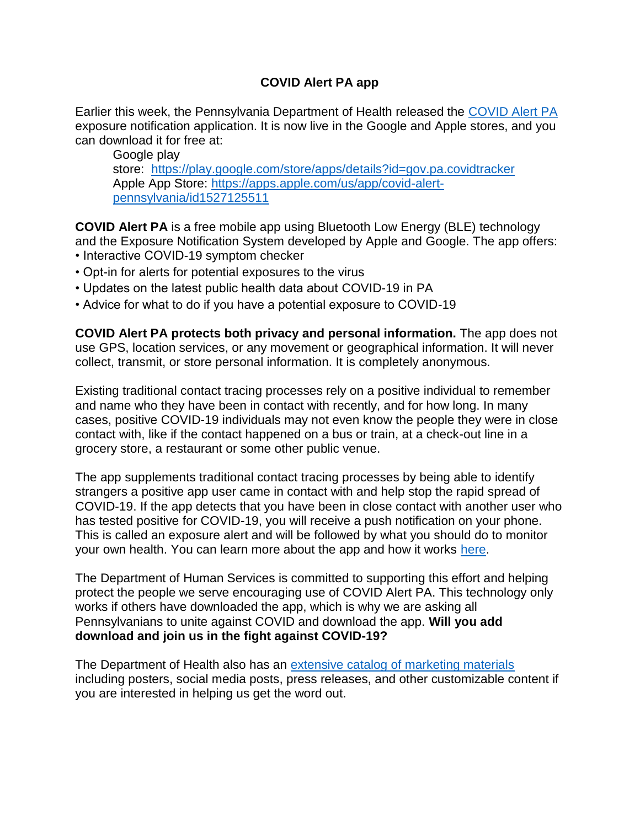## **COVID Alert PA app**

Earlier this week, the Pennsylvania Department of Health released the [COVID Alert PA](https://linkprotect.cudasvc.com/url?a=https%3a%2f%2fwww.pa.gov%2fcovid%2fcovid-alert-pa%2f&c=E,1,DmTmMllyqOGATU1gr9NuK3SP6uD0m8_F1100He4KwvgpR-Bg4F6-hovPbbmiKRPktZlCxxx9mGu0mernW99S_DTeJQqcOGNGKdY15tNNQ36wEvISWrfNfA,,&typo=1) exposure notification application. It is now live in the Google and Apple stores, and you can download it for free at:

Google play store: <https://play.google.com/store/apps/details?id=gov.pa.covidtracker> Apple App Store: [https://apps.apple.com/us/app/covid-alert](https://apps.apple.com/us/app/covid-alert-pennsylvania/id1527125511)[pennsylvania/id1527125511](https://apps.apple.com/us/app/covid-alert-pennsylvania/id1527125511)

**COVID Alert PA** is a free mobile app using Bluetooth Low Energy (BLE) technology and the Exposure Notification System developed by Apple and Google. The app offers: • Interactive COVID-19 symptom checker

- Opt-in for alerts for potential exposures to the virus
- Updates on the latest public health data about COVID-19 in PA
- Advice for what to do if you have a potential exposure to COVID-19

**COVID Alert PA protects both privacy and personal information.** The app does not use GPS, location services, or any movement or geographical information. It will never collect, transmit, or store personal information. It is completely anonymous.

Existing traditional contact tracing processes rely on a positive individual to remember and name who they have been in contact with recently, and for how long. In many cases, positive COVID-19 individuals may not even know the people they were in close contact with, like if the contact happened on a bus or train, at a check-out line in a grocery store, a restaurant or some other public venue.

The app supplements traditional contact tracing processes by being able to identify strangers a positive app user came in contact with and help stop the rapid spread of COVID-19. If the app detects that you have been in close contact with another user who has tested positive for COVID-19, you will receive a push notification on your phone. This is called an exposure alert and will be followed by what you should do to monitor your own health. You can learn more about the app and how it works [here.](https://linkprotect.cudasvc.com/url?a=https%3a%2f%2fwww.pa.gov%2fcovid%2fcovid-alert-pa%2f&c=E,1,AjR9SMM8PjBhakEdbJeEPbjizBEH9kiAc8Y-OFl3r3Ju9QHB6IQ37b1syLv-jCrbWBHl4LAd65VU5HivCkUreVA-zgL_jOISilpPGDTGqQhbcWTEpjy7bg,,&typo=1)

The Department of Human Services is committed to supporting this effort and helping protect the people we serve encouraging use of COVID Alert PA. This technology only works if others have downloaded the app, which is why we are asking all Pennsylvanians to unite against COVID and download the app. **Will you add download and join us in the fight against COVID-19?**

The Department of Health also has an [extensive catalog of marketing materials](https://linkprotect.cudasvc.com/url?a=https%3a%2f%2fwww.pa.gov%2fcovid%2fwp-content%2fuploads%2f2020%2f09%2fCOVIDAlertPA_Toolkit.zip&c=E,1,ndfIYUJ-Ik4RlHPe27uLdxUbPWkacXvsFUfKiLh5RlLBn3yJE6FsRf8nml3KoXrgDCHrVSO3TTdBhbMJFa3Fthai3ryC43zu34LU9t92iKKeXoRaqOlg6EYK3A,,&typo=1) including posters, social media posts, press releases, and other customizable content if you are interested in helping us get the word out.